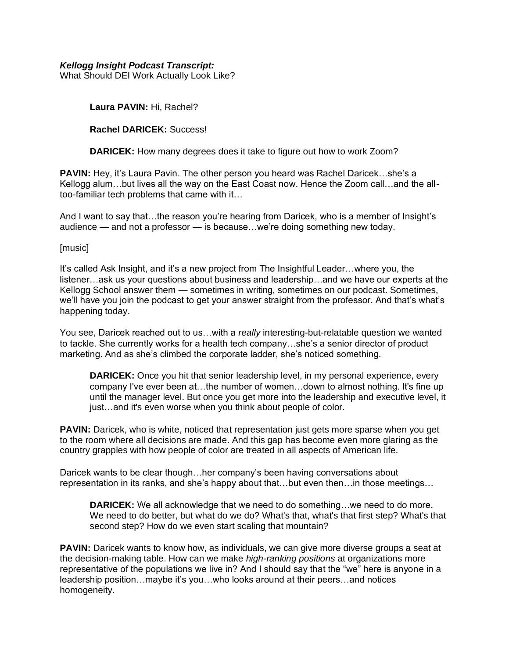## *Kellogg Insight Podcast Transcript:*

What Should DEI Work Actually Look Like?

**Laura PAVIN:** Hi, Rachel?

#### **Rachel DARICEK:** Success!

**DARICEK:** How many degrees does it take to figure out how to work Zoom?

**PAVIN:** Hey, it's Laura Pavin. The other person you heard was Rachel Daricek…she's a Kellogg alum…but lives all the way on the East Coast now. Hence the Zoom call…and the alltoo-familiar tech problems that came with it…

And I want to say that...the reason you're hearing from Daricek, who is a member of Insight's audience — and not a professor — is because…we're doing something new today.

## [music]

It's called Ask Insight, and it's a new project from The Insightful Leader…where you, the listener…ask us your questions about business and leadership…and we have our experts at the Kellogg School answer them — sometimes in writing, sometimes on our podcast. Sometimes, we'll have you join the podcast to get your answer straight from the professor. And that's what's happening today.

You see, Daricek reached out to us…with a *really* interesting-but-relatable question we wanted to tackle. She currently works for a health tech company…she's a senior director of product marketing. And as she's climbed the corporate ladder, she's noticed something.

**DARICEK:** Once you hit that senior leadership level, in my personal experience, every company I've ever been at…the number of women…down to almost nothing. It's fine up until the manager level. But once you get more into the leadership and executive level, it just…and it's even worse when you think about people of color.

**PAVIN:** Daricek, who is white, noticed that representation just gets more sparse when you get to the room where all decisions are made. And this gap has become even more glaring as the country grapples with how people of color are treated in all aspects of American life.

Daricek wants to be clear though…her company's been having conversations about representation in its ranks, and she's happy about that…but even then…in those meetings…

**DARICEK:** We all acknowledge that we need to do something…we need to do more. We need to do better, but what do we do? What's that, what's that first step? What's that second step? How do we even start scaling that mountain?

**PAVIN:** Daricek wants to know how, as individuals, we can give more diverse groups a seat at the decision-making table. How can we make *high-ranking positions* at organizations more representative of the populations we live in? And I should say that the "we" here is anyone in a leadership position…maybe it's you…who looks around at their peers…and notices homogeneity.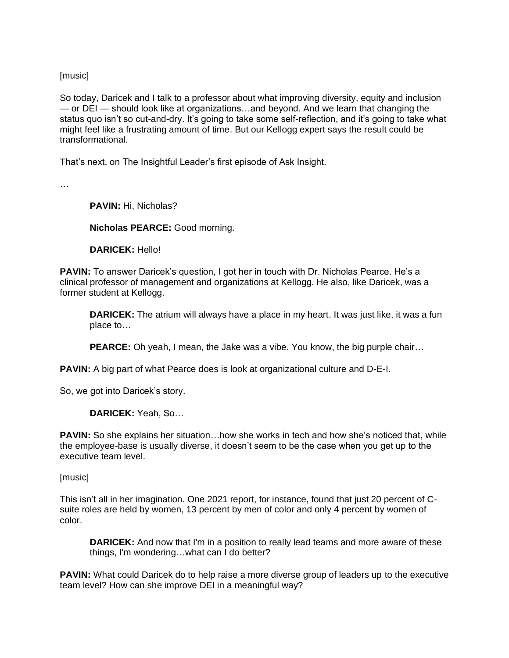[music]

So today, Daricek and I talk to a professor about what improving diversity, equity and inclusion — or DEI — should look like at organizations…and beyond. And we learn that changing the status quo isn't so cut-and-dry. It's going to take some self-reflection, and it's going to take what might feel like a frustrating amount of time. But our Kellogg expert says the result could be transformational.

That's next, on The Insightful Leader's first episode of Ask Insight.

…

**PAVIN:** Hi, Nicholas?

**Nicholas PEARCE:** Good morning.

**DARICEK:** Hello!

**PAVIN:** To answer Daricek's question, I got her in touch with Dr. Nicholas Pearce. He's a clinical professor of management and organizations at Kellogg. He also, like Daricek, was a former student at Kellogg.

**DARICEK:** The atrium will always have a place in my heart. It was just like, it was a fun place to…

**PEARCE:** Oh yeah, I mean, the Jake was a vibe. You know, the big purple chair…

**PAVIN:** A big part of what Pearce does is look at organizational culture and D-E-I.

So, we got into Daricek's story.

**DARICEK:** Yeah, So…

**PAVIN:** So she explains her situation...how she works in tech and how she's noticed that, while the employee-base is usually diverse, it doesn't seem to be the case when you get up to the executive team level.

[music]

This isn't all in her imagination. One 2021 report, for instance, found that just 20 percent of Csuite roles are held by women, 13 percent by men of color and only 4 percent by women of color.

**DARICEK:** And now that I'm in a position to really lead teams and more aware of these things, I'm wondering…what can I do better?

**PAVIN:** What could Daricek do to help raise a more diverse group of leaders up to the executive team level? How can she improve DEI in a meaningful way?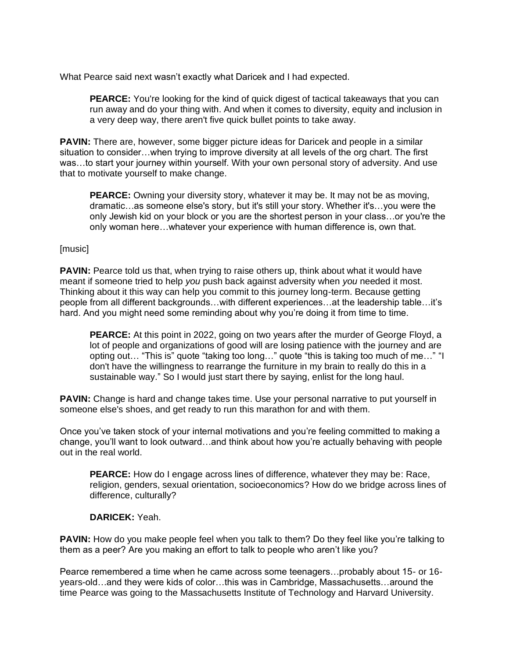What Pearce said next wasn't exactly what Daricek and I had expected.

**PEARCE:** You're looking for the kind of quick digest of tactical takeaways that you can run away and do your thing with. And when it comes to diversity, equity and inclusion in a very deep way, there aren't five quick bullet points to take away.

**PAVIN:** There are, however, some bigger picture ideas for Daricek and people in a similar situation to consider…when trying to improve diversity at all levels of the org chart. The first was...to start your journey within yourself. With your own personal story of adversity. And use that to motivate yourself to make change.

**PEARCE:** Owning your diversity story, whatever it may be. It may not be as moving, dramatic…as someone else's story, but it's still your story. Whether it's…you were the only Jewish kid on your block or you are the shortest person in your class…or you're the only woman here…whatever your experience with human difference is, own that.

## [music]

**PAVIN:** Pearce told us that, when trying to raise others up, think about what it would have meant if someone tried to help *you* push back against adversity when *you* needed it most. Thinking about it this way can help you commit to this journey long-term. Because getting people from all different backgrounds…with different experiences…at the leadership table…it's hard. And you might need some reminding about why you're doing it from time to time.

**PEARCE:** At this point in 2022, going on two years after the murder of George Floyd, a lot of people and organizations of good will are losing patience with the journey and are opting out… "This is" quote "taking too long…" quote "this is taking too much of me…" "I don't have the willingness to rearrange the furniture in my brain to really do this in a sustainable way." So I would just start there by saying, enlist for the long haul.

**PAVIN:** Change is hard and change takes time. Use your personal narrative to put vourself in someone else's shoes, and get ready to run this marathon for and with them.

Once you've taken stock of your internal motivations and you're feeling committed to making a change, you'll want to look outward…and think about how you're actually behaving with people out in the real world.

**PEARCE:** How do I engage across lines of difference, whatever they may be: Race, religion, genders, sexual orientation, socioeconomics? How do we bridge across lines of difference, culturally?

# **DARICEK:** Yeah.

**PAVIN:** How do you make people feel when you talk to them? Do they feel like you're talking to them as a peer? Are you making an effort to talk to people who aren't like you?

Pearce remembered a time when he came across some teenagers…probably about 15- or 16 years-old…and they were kids of color…this was in Cambridge, Massachusetts…around the time Pearce was going to the Massachusetts Institute of Technology and Harvard University.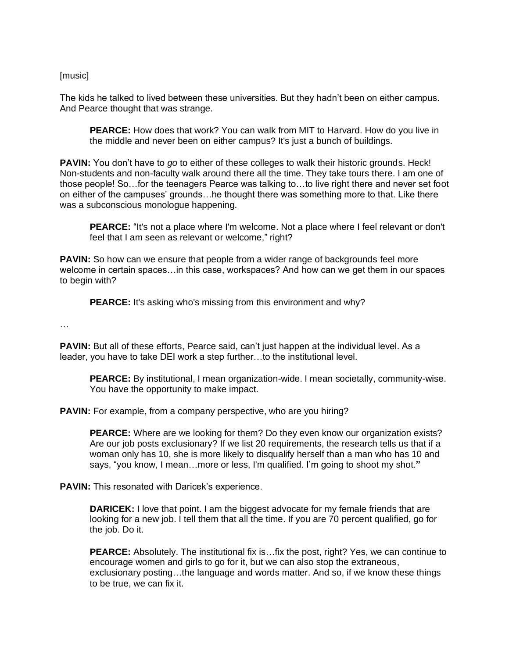[music]

The kids he talked to lived between these universities. But they hadn't been on either campus. And Pearce thought that was strange.

**PEARCE:** How does that work? You can walk from MIT to Harvard. How do you live in the middle and never been on either campus? It's just a bunch of buildings.

**PAVIN:** You don't have to *go* to either of these colleges to walk their historic grounds. Heck! Non-students and non-faculty walk around there all the time. They take tours there. I am one of those people! So…for the teenagers Pearce was talking to…to live right there and never set foot on either of the campuses' grounds…he thought there was something more to that. Like there was a subconscious monologue happening.

**PEARCE:** "It's not a place where I'm welcome. Not a place where I feel relevant or don't feel that I am seen as relevant or welcome," right?

**PAVIN:** So how can we ensure that people from a wider range of backgrounds feel more welcome in certain spaces…in this case, workspaces? And how can we get them in our spaces to begin with?

**PEARCE:** It's asking who's missing from this environment and why?

…

**PAVIN:** But all of these efforts, Pearce said, can't just happen at the individual level. As a leader, you have to take DEI work a step further…to the institutional level.

**PEARCE:** By institutional, I mean organization-wide. I mean societally, community-wise. You have the opportunity to make impact.

**PAVIN:** For example, from a company perspective, who are you hiring?

**PEARCE:** Where are we looking for them? Do they even know our organization exists? Are our job posts exclusionary? If we list 20 requirements, the research tells us that if a woman only has 10, she is more likely to disqualify herself than a man who has 10 and says, "you know, I mean…more or less, I'm qualified. I'm going to shoot my shot.**"**

**PAVIN:** This resonated with Daricek's experience.

**DARICEK:** I love that point. I am the biggest advocate for my female friends that are looking for a new job. I tell them that all the time. If you are 70 percent qualified, go for the job. Do it.

**PEARCE:** Absolutely. The institutional fix is…fix the post, right? Yes, we can continue to encourage women and girls to go for it, but we can also stop the extraneous, exclusionary posting…the language and words matter. And so, if we know these things to be true, we can fix it.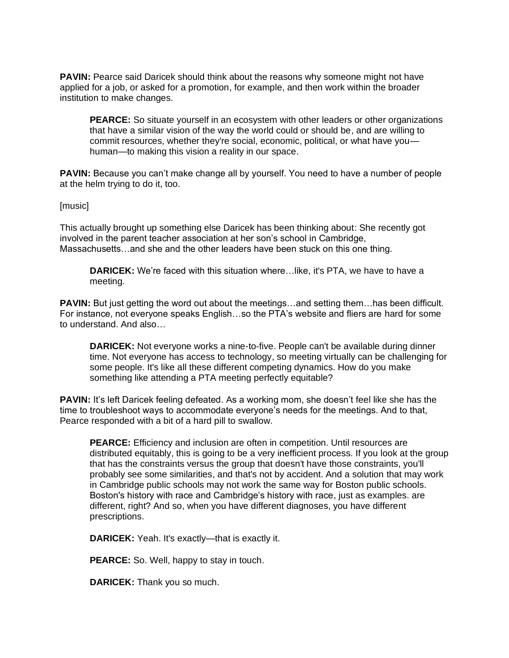**PAVIN:** Pearce said Daricek should think about the reasons why someone might not have applied for a job, or asked for a promotion, for example, and then work within the broader institution to make changes.

**PEARCE:** So situate yourself in an ecosystem with other leaders or other organizations that have a similar vision of the way the world could or should be, and are willing to commit resources, whether they're social, economic, political, or what have you human—to making this vision a reality in our space.

**PAVIN:** Because you can't make change all by yourself. You need to have a number of people at the helm trying to do it, too.

#### [music]

This actually brought up something else Daricek has been thinking about: She recently got involved in the parent teacher association at her son's school in Cambridge, Massachusetts…and she and the other leaders have been stuck on this one thing.

**DARICEK:** We're faced with this situation where…like, it's PTA, we have to have a meeting.

**PAVIN:** But just getting the word out about the meetings...and setting them...has been difficult. For instance, not everyone speaks English…so the PTA's website and fliers are hard for some to understand. And also…

**DARICEK:** Not everyone works a nine-to-five. People can't be available during dinner time. Not everyone has access to technology, so meeting virtually can be challenging for some people. It's like all these different competing dynamics. How do you make something like attending a PTA meeting perfectly equitable?

**PAVIN:** It's left Daricek feeling defeated. As a working mom, she doesn't feel like she has the time to troubleshoot ways to accommodate everyone's needs for the meetings. And to that, Pearce responded with a bit of a hard pill to swallow.

**PEARCE:** Efficiency and inclusion are often in competition. Until resources are distributed equitably, this is going to be a very inefficient process. If you look at the group that has the constraints versus the group that doesn't have those constraints, you'll probably see some similarities, and that's not by accident. And a solution that may work in Cambridge public schools may not work the same way for Boston public schools. Boston's history with race and Cambridge's history with race, just as examples. are different, right? And so, when you have different diagnoses, you have different prescriptions.

**DARICEK:** Yeah. It's exactly—that is exactly it.

**PEARCE:** So. Well, happy to stay in touch.

**DARICEK:** Thank you so much.